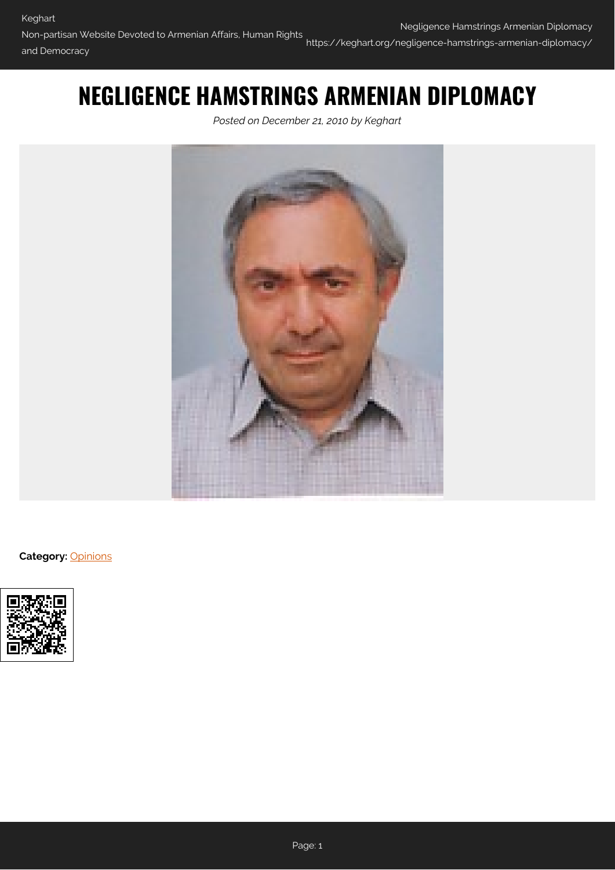## **NEGLIGENCE HAMSTRINGS ARMENIAN DIPLOMACY**

*Posted on December 21, 2010 by Keghart*



**Category:** [Opinions](https://keghart.org/category/opinions/)

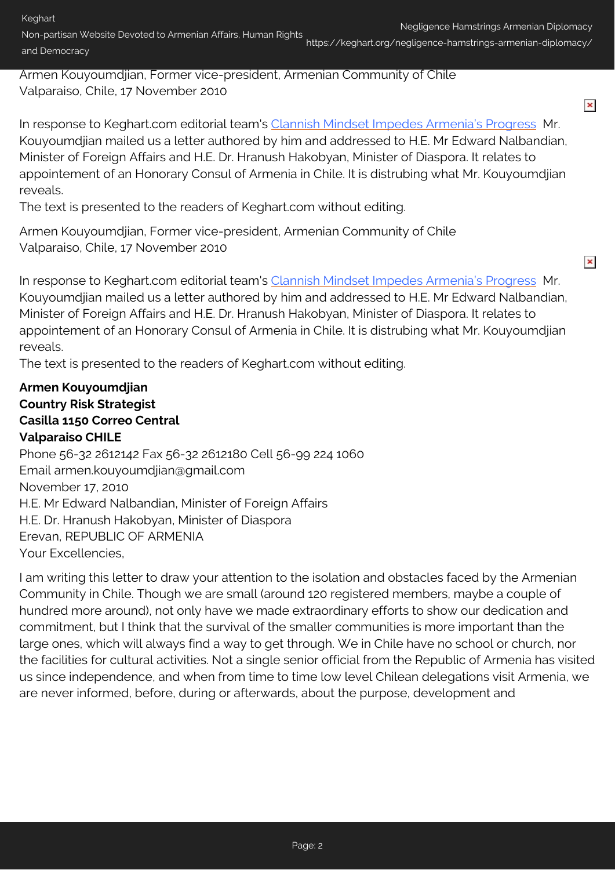Non-partisan Website Devoted to Armenian Affairs, Human Rights and Democracy https://keghart.org/negligence-hamstrings-armenian-diplomacy/

Armen Kouyoumdjian, Former vice-president, Armenian Community of Chile Valparaiso, Chile, 17 November 2010

 $\pmb{\times}$ 

 $\pmb{\times}$ 

In response to Keghart.com editorial team's [Clannish Mindset Impedes Armenia's Progress](http://www.keghart.com/Editorial_Progress) Mr. Kouyoumdjian mailed us a letter authored by him and addressed to H.E. Mr Edward Nalbandian, Minister of Foreign Affairs and H.E. Dr. Hranush Hakobyan, Minister of Diaspora. It relates to appointement of an Honorary Consul of Armenia in Chile. It is distrubing what Mr. Kouyoumdjian reveals.

The text is presented to the readers of Keghart.com without editing.

Armen Kouyoumdjian, Former vice-president, Armenian Community of Chile Valparaiso, Chile, 17 November 2010

In response to Keghart.com editorial team's [Clannish Mindset Impedes Armenia's Progress](http://www.keghart.com/Editorial_Progress) Mr. Kouyoumdjian mailed us a letter authored by him and addressed to H.E. Mr Edward Nalbandian, Minister of Foreign Affairs and H.E. Dr. Hranush Hakobyan, Minister of Diaspora. It relates to appointement of an Honorary Consul of Armenia in Chile. It is distrubing what Mr. Kouyoumdjian reveals.

The text is presented to the readers of Keghart.com without editing.

## **Armen Kouyoumdjian Country Risk Strategist Casilla 1150 Correo Central Valparaiso CHILE**

Phone 56-32 2612142 Fax 56-32 2612180 Cell 56-99 224 1060 Email armen.kouyoumdjian@gmail.com November 17, 2010 H.E. Mr Edward Nalbandian, Minister of Foreign Affairs H.E. Dr. Hranush Hakobyan, Minister of Diaspora Erevan, REPUBLIC OF ARMENIA Your Excellencies,

I am writing this letter to draw your attention to the isolation and obstacles faced by the Armenian Community in Chile. Though we are small (around 120 registered members, maybe a couple of hundred more around), not only have we made extraordinary efforts to show our dedication and commitment, but I think that the survival of the smaller communities is more important than the large ones, which will always find a way to get through. We in Chile have no school or church, nor the facilities for cultural activities. Not a single senior official from the Republic of Armenia has visited us since independence, and when from time to time low level Chilean delegations visit Armenia, we are never informed, before, during or afterwards, about the purpose, development and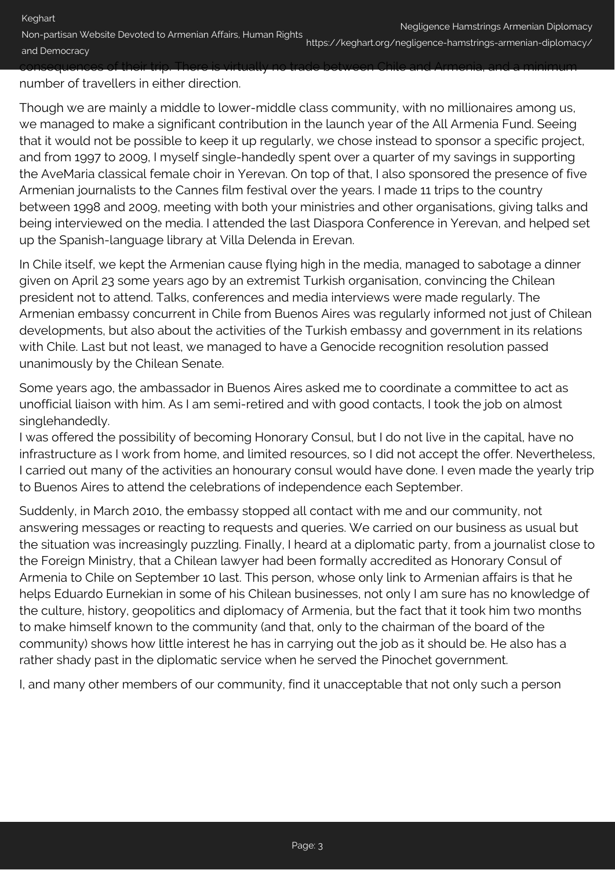Non-partisan Website Devoted to Armenian Affairs, Human Rights and Democracy https://keghart.org/negligence-hamstrings-armenian-diplomacy/ consequences of their trip. There is virtually no trade between Chile and Armenia, and a minimum

number of travellers in either direction.

Though we are mainly a middle to lower-middle class community, with no millionaires among us, we managed to make a significant contribution in the launch year of the All Armenia Fund. Seeing that it would not be possible to keep it up regularly, we chose instead to sponsor a specific project, and from 1997 to 2009, I myself single-handedly spent over a quarter of my savings in supporting the AveMaria classical female choir in Yerevan. On top of that, I also sponsored the presence of five Armenian journalists to the Cannes film festival over the years. I made 11 trips to the country between 1998 and 2009, meeting with both your ministries and other organisations, giving talks and being interviewed on the media. I attended the last Diaspora Conference in Yerevan, and helped set up the Spanish-language library at Villa Delenda in Erevan.

In Chile itself, we kept the Armenian cause flying high in the media, managed to sabotage a dinner given on April 23 some years ago by an extremist Turkish organisation, convincing the Chilean president not to attend. Talks, conferences and media interviews were made regularly. The Armenian embassy concurrent in Chile from Buenos Aires was regularly informed not just of Chilean developments, but also about the activities of the Turkish embassy and government in its relations with Chile. Last but not least, we managed to have a Genocide recognition resolution passed unanimously by the Chilean Senate.

Some years ago, the ambassador in Buenos Aires asked me to coordinate a committee to act as unofficial liaison with him. As I am semi-retired and with good contacts, I took the job on almost singlehandedly.

I was offered the possibility of becoming Honorary Consul, but I do not live in the capital, have no infrastructure as I work from home, and limited resources, so I did not accept the offer. Nevertheless, I carried out many of the activities an honourary consul would have done. I even made the yearly trip to Buenos Aires to attend the celebrations of independence each September.

Suddenly, in March 2010, the embassy stopped all contact with me and our community, not answering messages or reacting to requests and queries. We carried on our business as usual but the situation was increasingly puzzling. Finally, I heard at a diplomatic party, from a journalist close to the Foreign Ministry, that a Chilean lawyer had been formally accredited as Honorary Consul of Armenia to Chile on September 10 last. This person, whose only link to Armenian affairs is that he helps Eduardo Eurnekian in some of his Chilean businesses, not only I am sure has no knowledge of the culture, history, geopolitics and diplomacy of Armenia, but the fact that it took him two months to make himself known to the community (and that, only to the chairman of the board of the community) shows how little interest he has in carrying out the job as it should be. He also has a rather shady past in the diplomatic service when he served the Pinochet government.

I, and many other members of our community, find it unacceptable that not only such a person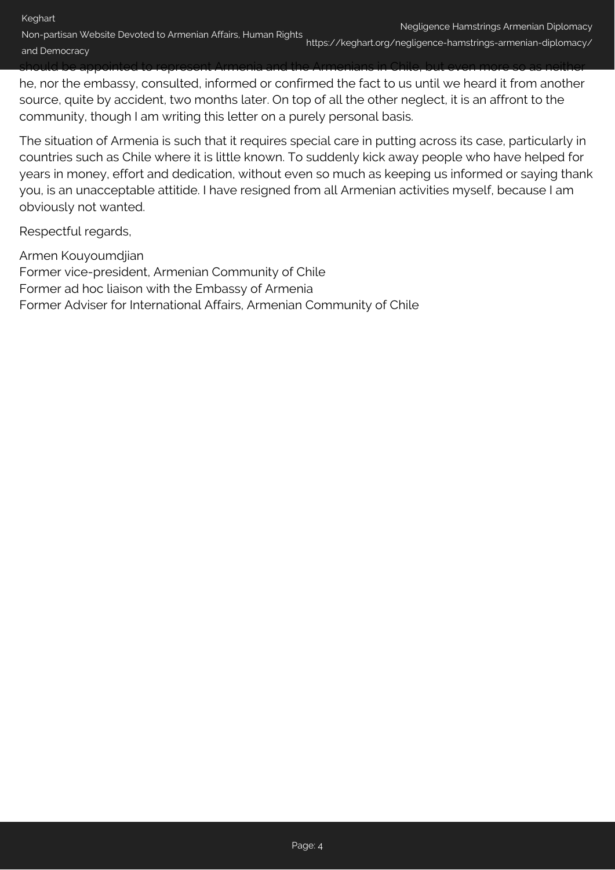Non-partisan Website Devoted to Armenian Affairs, Human Rights and Democracy https://keghart.org/negligence-hamstrings-armenian-diplomacy/

should be appointed to represent Armenia and the Armenians in Chile, but even more so as neither he, nor the embassy, consulted, informed or confirmed the fact to us until we heard it from another source, quite by accident, two months later. On top of all the other neglect, it is an affront to the community, though I am writing this letter on a purely personal basis.

The situation of Armenia is such that it requires special care in putting across its case, particularly in countries such as Chile where it is little known. To suddenly kick away people who have helped for years in money, effort and dedication, without even so much as keeping us informed or saying thank you, is an unacceptable attitide. I have resigned from all Armenian activities myself, because I am obviously not wanted.

Respectful regards,

Armen Kouyoumdjian Former vice-president, Armenian Community of Chile Former ad hoc liaison with the Embassy of Armenia Former Adviser for International Affairs, Armenian Community of Chile